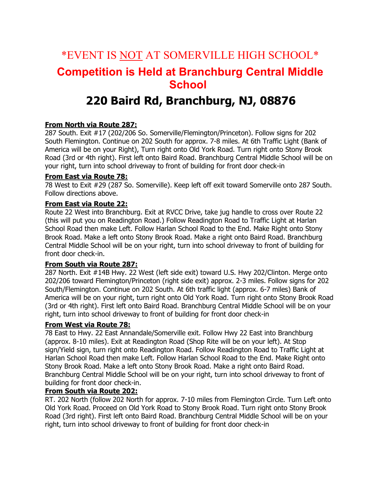# \*EVENT IS NOT AT SOMERVILLE HIGH SCHOOL\* **Competition is Held at Branchburg Central Middle School**

## **220 Baird Rd, Branchburg, NJ, 08876**

## **From North via Route 287:**

287 South. Exit #17 (202/206 So. Somerville/Flemington/Princeton). Follow signs for 202 South Flemington. Continue on 202 South for approx. 7-8 miles. At 6th Traffic Light (Bank of America will be on your Right), Turn right onto Old York Road. Turn right onto Stony Brook Road (3rd or 4th right). First left onto Baird Road. Branchburg Central Middle School will be on your right, turn into school driveway to front of building for front door check-in

#### **From East via Route 78:**

78 West to Exit #29 (287 So. Somerville). Keep left off exit toward Somerville onto 287 South. Follow directions above.

#### **From East via Route 22:**

Route 22 West into Branchburg. Exit at RVCC Drive, take jug handle to cross over Route 22 (this will put you on Readington Road.) Follow Readington Road to Traffic Light at Harlan School Road then make Left. Follow Harlan School Road to the End. Make Right onto Stony Brook Road. Make a left onto Stony Brook Road. Make a right onto Baird Road. Branchburg Central Middle School will be on your right, turn into school driveway to front of building for front door check-in.

#### **From South via Route 287:**

287 North. Exit #14B Hwy. 22 West (left side exit) toward U.S. Hwy 202/Clinton. Merge onto 202/206 toward Flemington/Princeton (right side exit) approx. 2-3 miles. Follow signs for 202 South/Flemington. Continue on 202 South. At 6th traffic light (approx. 6-7 miles) Bank of America will be on your right, turn right onto Old York Road. Turn right onto Stony Brook Road (3rd or 4th right). First left onto Baird Road. Branchburg Central Middle School will be on your right, turn into school driveway to front of building for front door check-in

## **From West via Route 78:**

78 East to Hwy. 22 East Annandale/Somerville exit. Follow Hwy 22 East into Branchburg (approx. 8-10 miles). Exit at Readington Road (Shop Rite will be on your left). At Stop sign/Yield sign, turn right onto Readington Road. Follow Readington Road to Traffic Light at Harlan School Road then make Left. Follow Harlan School Road to the End. Make Right onto Stony Brook Road. Make a left onto Stony Brook Road. Make a right onto Baird Road. Branchburg Central Middle School will be on your right, turn into school driveway to front of building for front door check-in.

#### **From South via Route 202:**

RT. 202 North (follow 202 North for approx. 7-10 miles from Flemington Circle. Turn Left onto Old York Road. Proceed on Old York Road to Stony Brook Road. Turn right onto Stony Brook Road (3rd right). First left onto Baird Road. Branchburg Central Middle School will be on your right, turn into school driveway to front of building for front door check-in